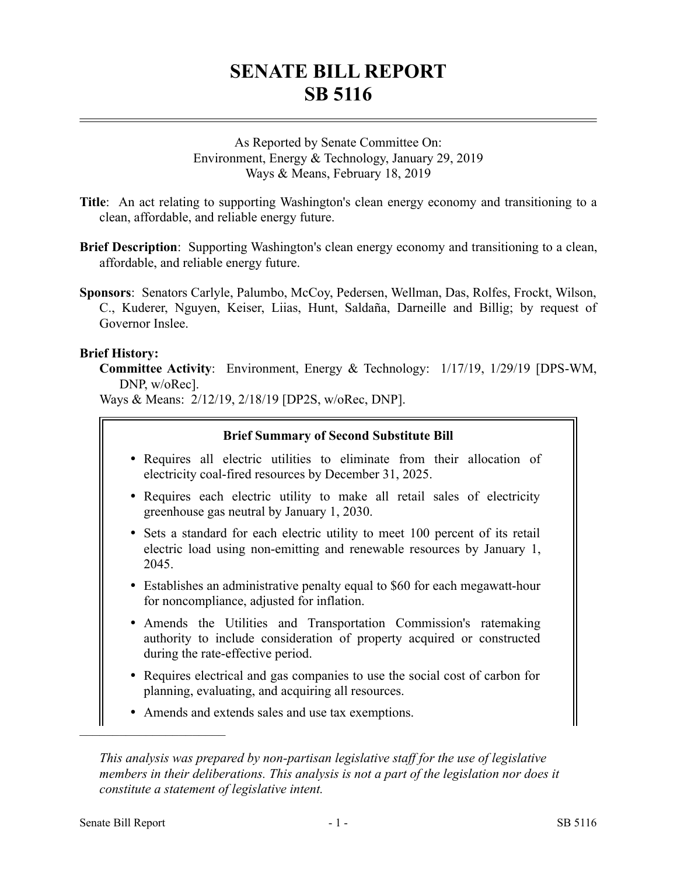# **SENATE BILL REPORT SB 5116**

As Reported by Senate Committee On: Environment, Energy & Technology, January 29, 2019 Ways & Means, February 18, 2019

**Title**: An act relating to supporting Washington's clean energy economy and transitioning to a clean, affordable, and reliable energy future.

- **Brief Description**: Supporting Washington's clean energy economy and transitioning to a clean, affordable, and reliable energy future.
- **Sponsors**: Senators Carlyle, Palumbo, McCoy, Pedersen, Wellman, Das, Rolfes, Frockt, Wilson, C., Kuderer, Nguyen, Keiser, Liias, Hunt, Saldaña, Darneille and Billig; by request of Governor Inslee.

#### **Brief History:**

**Committee Activity**: Environment, Energy & Technology: 1/17/19, 1/29/19 [DPS-WM, DNP, w/oRec].

Ways & Means: 2/12/19, 2/18/19 [DP2S, w/oRec, DNP].

#### **Brief Summary of Second Substitute Bill**

- Requires all electric utilities to eliminate from their allocation of electricity coal-fired resources by December 31, 2025.
- Requires each electric utility to make all retail sales of electricity greenhouse gas neutral by January 1, 2030.
- Sets a standard for each electric utility to meet 100 percent of its retail electric load using non-emitting and renewable resources by January 1, 2045.
- Establishes an administrative penalty equal to \$60 for each megawatt-hour for noncompliance, adjusted for inflation.
- Amends the Utilities and Transportation Commission's ratemaking authority to include consideration of property acquired or constructed during the rate-effective period.
- Requires electrical and gas companies to use the social cost of carbon for planning, evaluating, and acquiring all resources.
- Amends and extends sales and use tax exemptions.

––––––––––––––––––––––

*This analysis was prepared by non-partisan legislative staff for the use of legislative members in their deliberations. This analysis is not a part of the legislation nor does it constitute a statement of legislative intent.*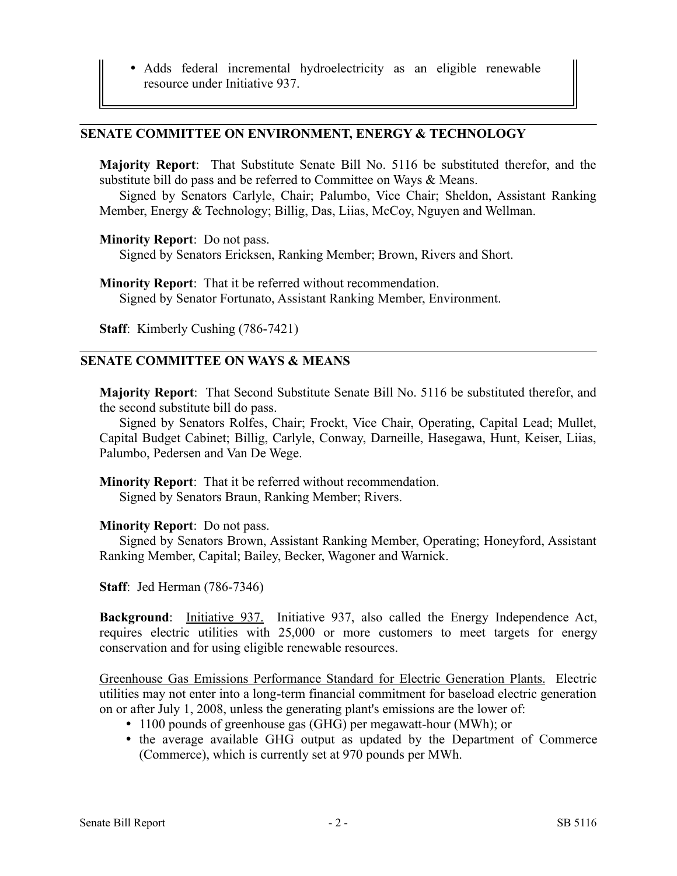Adds federal incremental hydroelectricity as an eligible renewable resource under Initiative 937.

#### **SENATE COMMITTEE ON ENVIRONMENT, ENERGY & TECHNOLOGY**

**Majority Report**: That Substitute Senate Bill No. 5116 be substituted therefor, and the substitute bill do pass and be referred to Committee on Ways & Means.

Signed by Senators Carlyle, Chair; Palumbo, Vice Chair; Sheldon, Assistant Ranking Member, Energy & Technology; Billig, Das, Liias, McCoy, Nguyen and Wellman.

#### **Minority Report**: Do not pass.

Signed by Senators Ericksen, Ranking Member; Brown, Rivers and Short.

**Minority Report**: That it be referred without recommendation. Signed by Senator Fortunato, Assistant Ranking Member, Environment.

**Staff**: Kimberly Cushing (786-7421)

#### **SENATE COMMITTEE ON WAYS & MEANS**

**Majority Report**: That Second Substitute Senate Bill No. 5116 be substituted therefor, and the second substitute bill do pass.

Signed by Senators Rolfes, Chair; Frockt, Vice Chair, Operating, Capital Lead; Mullet, Capital Budget Cabinet; Billig, Carlyle, Conway, Darneille, Hasegawa, Hunt, Keiser, Liias, Palumbo, Pedersen and Van De Wege.

**Minority Report**: That it be referred without recommendation. Signed by Senators Braun, Ranking Member; Rivers.

#### **Minority Report**: Do not pass.

Signed by Senators Brown, Assistant Ranking Member, Operating; Honeyford, Assistant Ranking Member, Capital; Bailey, Becker, Wagoner and Warnick.

**Staff**: Jed Herman (786-7346)

**Background:** Initiative 937. Initiative 937, also called the Energy Independence Act, requires electric utilities with 25,000 or more customers to meet targets for energy conservation and for using eligible renewable resources.

Greenhouse Gas Emissions Performance Standard for Electric Generation Plants. Electric utilities may not enter into a long-term financial commitment for baseload electric generation on or after July 1, 2008, unless the generating plant's emissions are the lower of:

- 1100 pounds of greenhouse gas (GHG) per megawatt-hour (MWh); or
- the average available GHG output as updated by the Department of Commerce (Commerce), which is currently set at 970 pounds per MWh.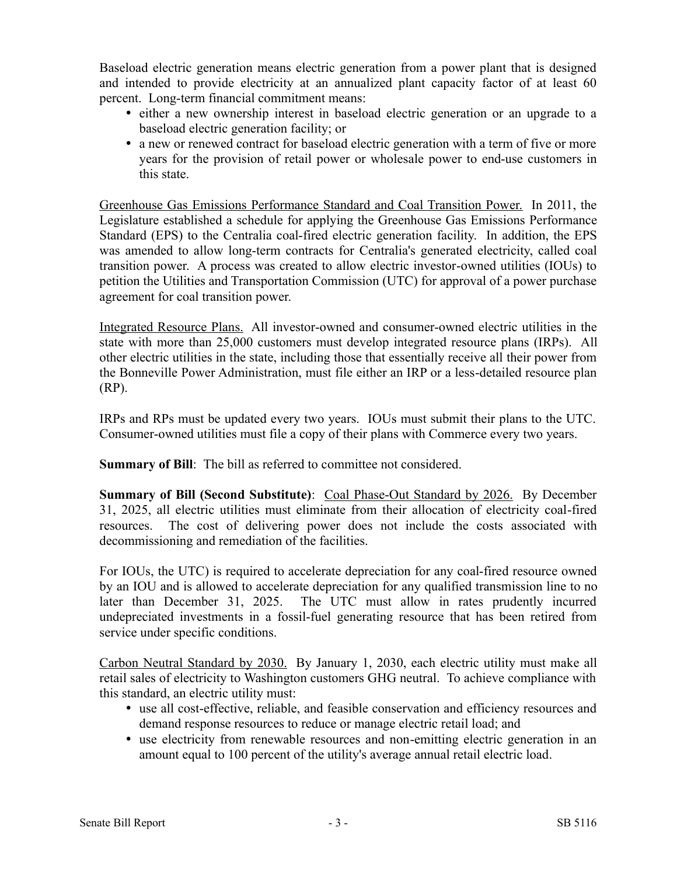Baseload electric generation means electric generation from a power plant that is designed and intended to provide electricity at an annualized plant capacity factor of at least 60 percent. Long-term financial commitment means:

- either a new ownership interest in baseload electric generation or an upgrade to a baseload electric generation facility; or
- a new or renewed contract for baseload electric generation with a term of five or more years for the provision of retail power or wholesale power to end-use customers in this state.

Greenhouse Gas Emissions Performance Standard and Coal Transition Power. In 2011, the Legislature established a schedule for applying the Greenhouse Gas Emissions Performance Standard (EPS) to the Centralia coal-fired electric generation facility. In addition, the EPS was amended to allow long-term contracts for Centralia's generated electricity, called coal transition power. A process was created to allow electric investor-owned utilities (IOUs) to petition the Utilities and Transportation Commission (UTC) for approval of a power purchase agreement for coal transition power.

Integrated Resource Plans. All investor-owned and consumer-owned electric utilities in the state with more than 25,000 customers must develop integrated resource plans (IRPs). All other electric utilities in the state, including those that essentially receive all their power from the Bonneville Power Administration, must file either an IRP or a less-detailed resource plan (RP).

IRPs and RPs must be updated every two years. IOUs must submit their plans to the UTC. Consumer-owned utilities must file a copy of their plans with Commerce every two years.

**Summary of Bill**: The bill as referred to committee not considered.

**Summary of Bill (Second Substitute)**: Coal Phase-Out Standard by 2026. By December 31, 2025, all electric utilities must eliminate from their allocation of electricity coal-fired resources. The cost of delivering power does not include the costs associated with decommissioning and remediation of the facilities.

For IOUs, the UTC) is required to accelerate depreciation for any coal-fired resource owned by an IOU and is allowed to accelerate depreciation for any qualified transmission line to no later than December 31, 2025. The UTC must allow in rates prudently incurred undepreciated investments in a fossil-fuel generating resource that has been retired from service under specific conditions.

Carbon Neutral Standard by 2030. By January 1, 2030, each electric utility must make all retail sales of electricity to Washington customers GHG neutral. To achieve compliance with this standard, an electric utility must:

- use all cost-effective, reliable, and feasible conservation and efficiency resources and demand response resources to reduce or manage electric retail load; and
- use electricity from renewable resources and non-emitting electric generation in an amount equal to 100 percent of the utility's average annual retail electric load.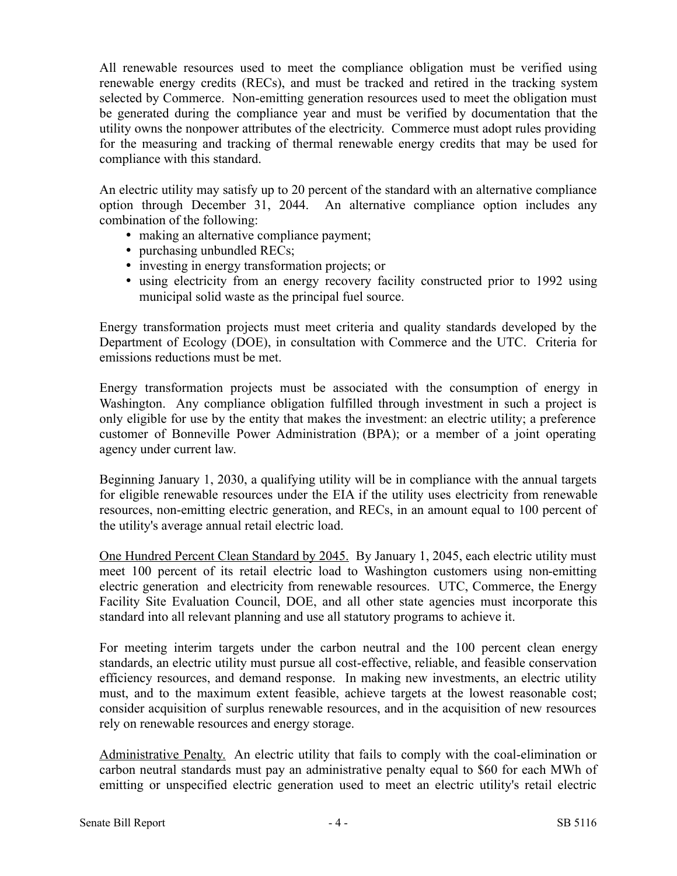All renewable resources used to meet the compliance obligation must be verified using renewable energy credits (RECs), and must be tracked and retired in the tracking system selected by Commerce. Non-emitting generation resources used to meet the obligation must be generated during the compliance year and must be verified by documentation that the utility owns the nonpower attributes of the electricity. Commerce must adopt rules providing for the measuring and tracking of thermal renewable energy credits that may be used for compliance with this standard.

An electric utility may satisfy up to 20 percent of the standard with an alternative compliance option through December 31, 2044. An alternative compliance option includes any combination of the following:

- making an alternative compliance payment;
- purchasing unbundled RECs;
- investing in energy transformation projects; or
- using electricity from an energy recovery facility constructed prior to 1992 using municipal solid waste as the principal fuel source.

Energy transformation projects must meet criteria and quality standards developed by the Department of Ecology (DOE), in consultation with Commerce and the UTC. Criteria for emissions reductions must be met.

Energy transformation projects must be associated with the consumption of energy in Washington. Any compliance obligation fulfilled through investment in such a project is only eligible for use by the entity that makes the investment: an electric utility; a preference customer of Bonneville Power Administration (BPA); or a member of a joint operating agency under current law.

Beginning January 1, 2030, a qualifying utility will be in compliance with the annual targets for eligible renewable resources under the EIA if the utility uses electricity from renewable resources, non-emitting electric generation, and RECs, in an amount equal to 100 percent of the utility's average annual retail electric load.

One Hundred Percent Clean Standard by 2045. By January 1, 2045, each electric utility must meet 100 percent of its retail electric load to Washington customers using non-emitting electric generation and electricity from renewable resources. UTC, Commerce, the Energy Facility Site Evaluation Council, DOE, and all other state agencies must incorporate this standard into all relevant planning and use all statutory programs to achieve it.

For meeting interim targets under the carbon neutral and the 100 percent clean energy standards, an electric utility must pursue all cost-effective, reliable, and feasible conservation efficiency resources, and demand response. In making new investments, an electric utility must, and to the maximum extent feasible, achieve targets at the lowest reasonable cost; consider acquisition of surplus renewable resources, and in the acquisition of new resources rely on renewable resources and energy storage.

Administrative Penalty. An electric utility that fails to comply with the coal-elimination or carbon neutral standards must pay an administrative penalty equal to \$60 for each MWh of emitting or unspecified electric generation used to meet an electric utility's retail electric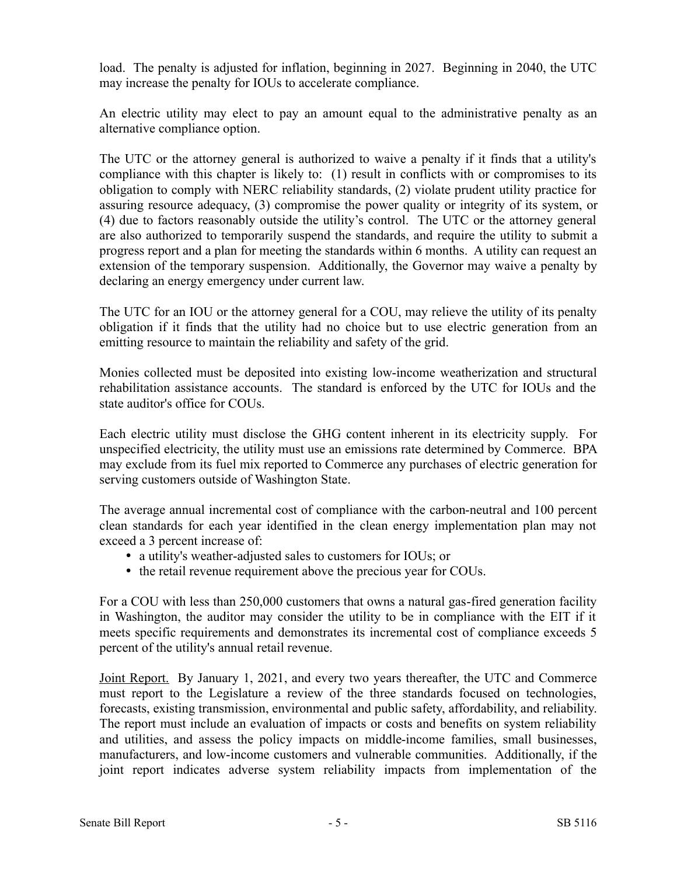load. The penalty is adjusted for inflation, beginning in 2027. Beginning in 2040, the UTC may increase the penalty for IOUs to accelerate compliance.

An electric utility may elect to pay an amount equal to the administrative penalty as an alternative compliance option.

The UTC or the attorney general is authorized to waive a penalty if it finds that a utility's compliance with this chapter is likely to: (1) result in conflicts with or compromises to its obligation to comply with NERC reliability standards, (2) violate prudent utility practice for assuring resource adequacy, (3) compromise the power quality or integrity of its system, or (4) due to factors reasonably outside the utility's control. The UTC or the attorney general are also authorized to temporarily suspend the standards, and require the utility to submit a progress report and a plan for meeting the standards within 6 months. A utility can request an extension of the temporary suspension. Additionally, the Governor may waive a penalty by declaring an energy emergency under current law.

The UTC for an IOU or the attorney general for a COU, may relieve the utility of its penalty obligation if it finds that the utility had no choice but to use electric generation from an emitting resource to maintain the reliability and safety of the grid.

Monies collected must be deposited into existing low-income weatherization and structural rehabilitation assistance accounts. The standard is enforced by the UTC for IOUs and the state auditor's office for COUs.

Each electric utility must disclose the GHG content inherent in its electricity supply. For unspecified electricity, the utility must use an emissions rate determined by Commerce. BPA may exclude from its fuel mix reported to Commerce any purchases of electric generation for serving customers outside of Washington State.

The average annual incremental cost of compliance with the carbon-neutral and 100 percent clean standards for each year identified in the clean energy implementation plan may not exceed a 3 percent increase of:

- a utility's weather-adjusted sales to customers for IOUs; or
- the retail revenue requirement above the precious year for COUs.

For a COU with less than 250,000 customers that owns a natural gas-fired generation facility in Washington, the auditor may consider the utility to be in compliance with the EIT if it meets specific requirements and demonstrates its incremental cost of compliance exceeds 5 percent of the utility's annual retail revenue.

Joint Report. By January 1, 2021, and every two years thereafter, the UTC and Commerce must report to the Legislature a review of the three standards focused on technologies, forecasts, existing transmission, environmental and public safety, affordability, and reliability. The report must include an evaluation of impacts or costs and benefits on system reliability and utilities, and assess the policy impacts on middle-income families, small businesses, manufacturers, and low-income customers and vulnerable communities. Additionally, if the joint report indicates adverse system reliability impacts from implementation of the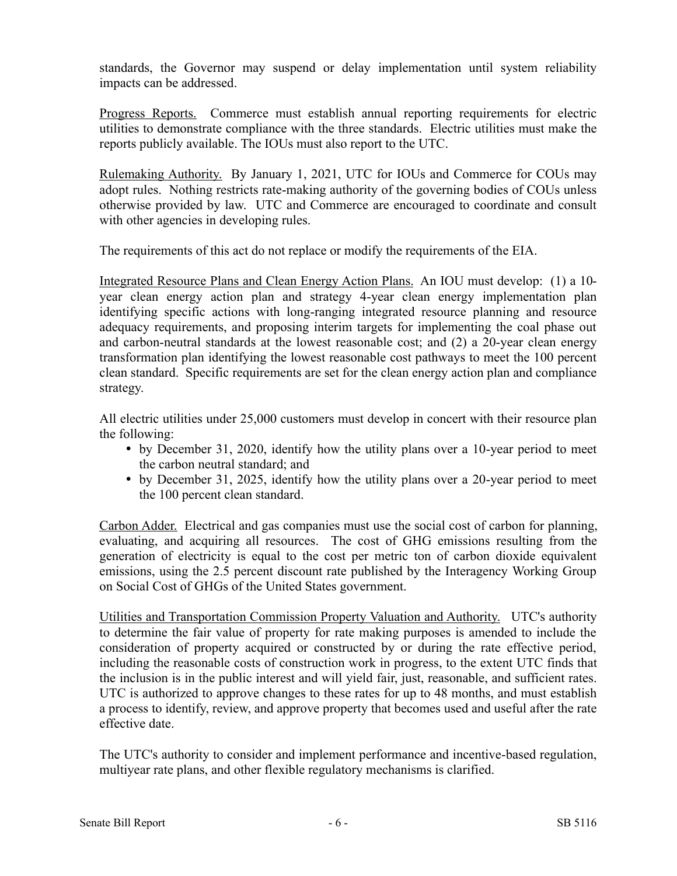standards, the Governor may suspend or delay implementation until system reliability impacts can be addressed.

Progress Reports. Commerce must establish annual reporting requirements for electric utilities to demonstrate compliance with the three standards. Electric utilities must make the reports publicly available. The IOUs must also report to the UTC.

Rulemaking Authority. By January 1, 2021, UTC for IOUs and Commerce for COUs may adopt rules. Nothing restricts rate-making authority of the governing bodies of COUs unless otherwise provided by law. UTC and Commerce are encouraged to coordinate and consult with other agencies in developing rules.

The requirements of this act do not replace or modify the requirements of the EIA.

Integrated Resource Plans and Clean Energy Action Plans. An IOU must develop: (1) a 10 year clean energy action plan and strategy 4-year clean energy implementation plan identifying specific actions with long-ranging integrated resource planning and resource adequacy requirements, and proposing interim targets for implementing the coal phase out and carbon-neutral standards at the lowest reasonable cost; and (2) a 20-year clean energy transformation plan identifying the lowest reasonable cost pathways to meet the 100 percent clean standard. Specific requirements are set for the clean energy action plan and compliance strategy.

All electric utilities under 25,000 customers must develop in concert with their resource plan the following:

- by December 31, 2020, identify how the utility plans over a 10-year period to meet the carbon neutral standard; and
- by December 31, 2025, identify how the utility plans over a 20-year period to meet the 100 percent clean standard.

Carbon Adder. Electrical and gas companies must use the social cost of carbon for planning, evaluating, and acquiring all resources. The cost of GHG emissions resulting from the generation of electricity is equal to the cost per metric ton of carbon dioxide equivalent emissions, using the 2.5 percent discount rate published by the Interagency Working Group on Social Cost of GHGs of the United States government.

Utilities and Transportation Commission Property Valuation and Authority. UTC's authority to determine the fair value of property for rate making purposes is amended to include the consideration of property acquired or constructed by or during the rate effective period, including the reasonable costs of construction work in progress, to the extent UTC finds that the inclusion is in the public interest and will yield fair, just, reasonable, and sufficient rates. UTC is authorized to approve changes to these rates for up to 48 months, and must establish a process to identify, review, and approve property that becomes used and useful after the rate effective date.

The UTC's authority to consider and implement performance and incentive-based regulation, multiyear rate plans, and other flexible regulatory mechanisms is clarified.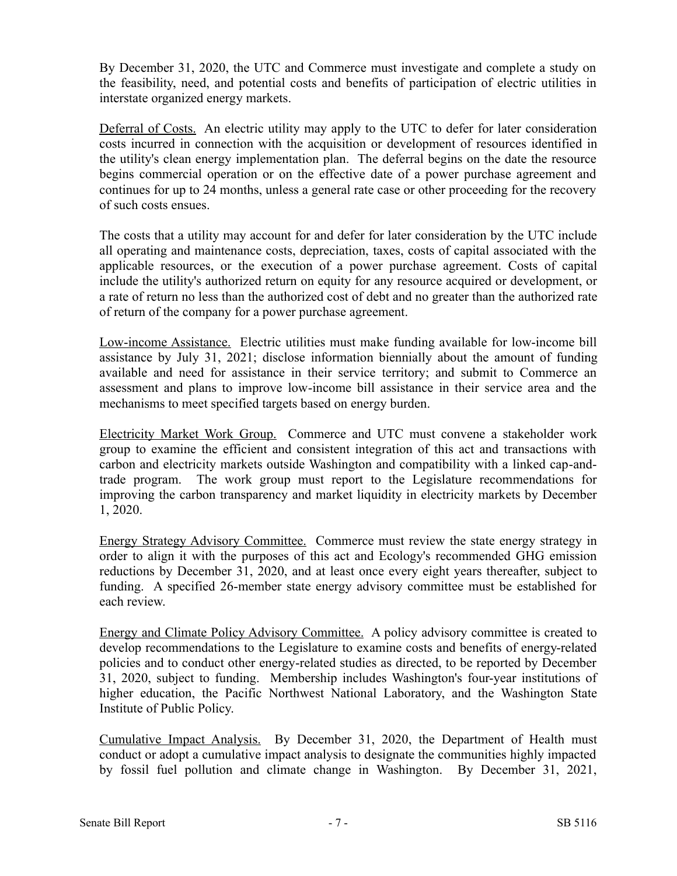By December 31, 2020, the UTC and Commerce must investigate and complete a study on the feasibility, need, and potential costs and benefits of participation of electric utilities in interstate organized energy markets.

Deferral of Costs. An electric utility may apply to the UTC to defer for later consideration costs incurred in connection with the acquisition or development of resources identified in the utility's clean energy implementation plan. The deferral begins on the date the resource begins commercial operation or on the effective date of a power purchase agreement and continues for up to 24 months, unless a general rate case or other proceeding for the recovery of such costs ensues.

The costs that a utility may account for and defer for later consideration by the UTC include all operating and maintenance costs, depreciation, taxes, costs of capital associated with the applicable resources, or the execution of a power purchase agreement. Costs of capital include the utility's authorized return on equity for any resource acquired or development, or a rate of return no less than the authorized cost of debt and no greater than the authorized rate of return of the company for a power purchase agreement.

Low-income Assistance. Electric utilities must make funding available for low-income bill assistance by July 31, 2021; disclose information biennially about the amount of funding available and need for assistance in their service territory; and submit to Commerce an assessment and plans to improve low-income bill assistance in their service area and the mechanisms to meet specified targets based on energy burden.

Electricity Market Work Group. Commerce and UTC must convene a stakeholder work group to examine the efficient and consistent integration of this act and transactions with carbon and electricity markets outside Washington and compatibility with a linked cap-andtrade program. The work group must report to the Legislature recommendations for improving the carbon transparency and market liquidity in electricity markets by December 1, 2020.

Energy Strategy Advisory Committee. Commerce must review the state energy strategy in order to align it with the purposes of this act and Ecology's recommended GHG emission reductions by December 31, 2020, and at least once every eight years thereafter, subject to funding. A specified 26-member state energy advisory committee must be established for each review.

Energy and Climate Policy Advisory Committee. A policy advisory committee is created to develop recommendations to the Legislature to examine costs and benefits of energy-related policies and to conduct other energy-related studies as directed, to be reported by December 31, 2020, subject to funding. Membership includes Washington's four-year institutions of higher education, the Pacific Northwest National Laboratory, and the Washington State Institute of Public Policy.

Cumulative Impact Analysis. By December 31, 2020, the Department of Health must conduct or adopt a cumulative impact analysis to designate the communities highly impacted by fossil fuel pollution and climate change in Washington. By December 31, 2021,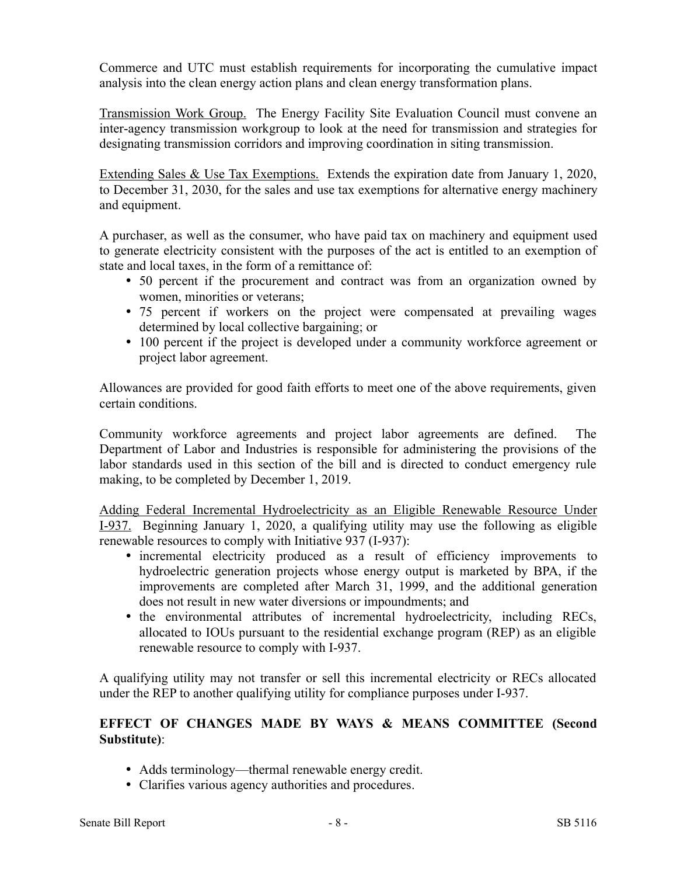Commerce and UTC must establish requirements for incorporating the cumulative impact analysis into the clean energy action plans and clean energy transformation plans.

Transmission Work Group. The Energy Facility Site Evaluation Council must convene an inter-agency transmission workgroup to look at the need for transmission and strategies for designating transmission corridors and improving coordination in siting transmission.

Extending Sales & Use Tax Exemptions. Extends the expiration date from January 1, 2020, to December 31, 2030, for the sales and use tax exemptions for alternative energy machinery and equipment.

A purchaser, as well as the consumer, who have paid tax on machinery and equipment used to generate electricity consistent with the purposes of the act is entitled to an exemption of state and local taxes, in the form of a remittance of:

- 50 percent if the procurement and contract was from an organization owned by women, minorities or veterans;
- 75 percent if workers on the project were compensated at prevailing wages determined by local collective bargaining; or
- 100 percent if the project is developed under a community workforce agreement or project labor agreement.

Allowances are provided for good faith efforts to meet one of the above requirements, given certain conditions.

Community workforce agreements and project labor agreements are defined. The Department of Labor and Industries is responsible for administering the provisions of the labor standards used in this section of the bill and is directed to conduct emergency rule making, to be completed by December 1, 2019.

Adding Federal Incremental Hydroelectricity as an Eligible Renewable Resource Under I-937. Beginning January 1, 2020, a qualifying utility may use the following as eligible renewable resources to comply with Initiative 937 (I-937):

- incremental electricity produced as a result of efficiency improvements to hydroelectric generation projects whose energy output is marketed by BPA, if the improvements are completed after March 31, 1999, and the additional generation does not result in new water diversions or impoundments; and
- the environmental attributes of incremental hydroelectricity, including RECs, allocated to IOUs pursuant to the residential exchange program (REP) as an eligible renewable resource to comply with I-937.

A qualifying utility may not transfer or sell this incremental electricity or RECs allocated under the REP to another qualifying utility for compliance purposes under I-937.

## **EFFECT OF CHANGES MADE BY WAYS & MEANS COMMITTEE (Second Substitute)**:

- Adds terminology—thermal renewable energy credit.
- Clarifies various agency authorities and procedures.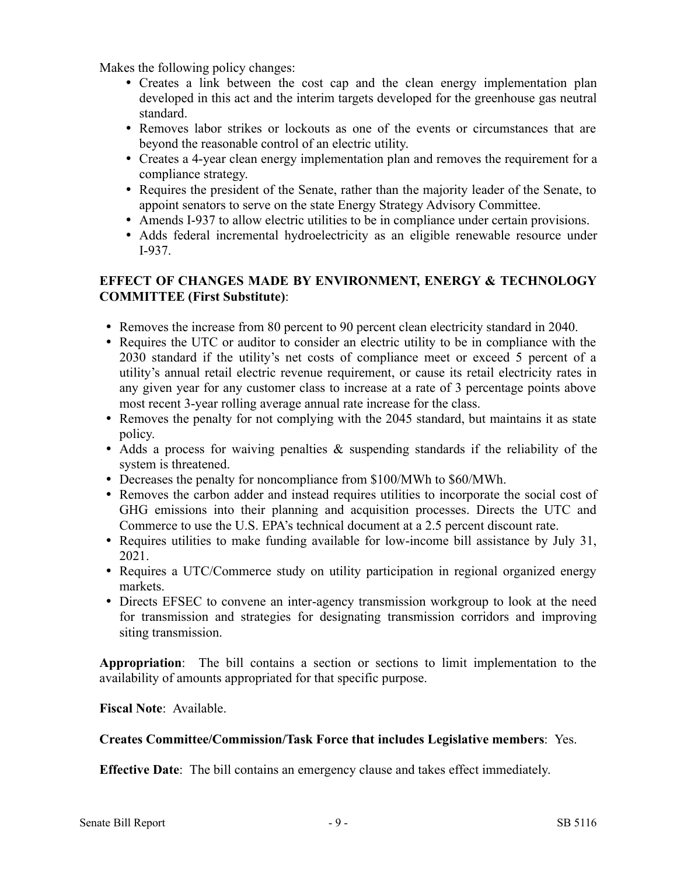Makes the following policy changes:

- Creates a link between the cost cap and the clean energy implementation plan developed in this act and the interim targets developed for the greenhouse gas neutral standard.
- Removes labor strikes or lockouts as one of the events or circumstances that are beyond the reasonable control of an electric utility.
- Creates a 4-year clean energy implementation plan and removes the requirement for a compliance strategy.
- Requires the president of the Senate, rather than the majority leader of the Senate, to appoint senators to serve on the state Energy Strategy Advisory Committee.
- Amends I-937 to allow electric utilities to be in compliance under certain provisions.
- Adds federal incremental hydroelectricity as an eligible renewable resource under I-937.

# **EFFECT OF CHANGES MADE BY ENVIRONMENT, ENERGY & TECHNOLOGY COMMITTEE (First Substitute)**:

- Removes the increase from 80 percent to 90 percent clean electricity standard in 2040.
- Requires the UTC or auditor to consider an electric utility to be in compliance with the 2030 standard if the utility's net costs of compliance meet or exceed 5 percent of a utility's annual retail electric revenue requirement, or cause its retail electricity rates in any given year for any customer class to increase at a rate of 3 percentage points above most recent 3-year rolling average annual rate increase for the class.
- Removes the penalty for not complying with the 2045 standard, but maintains it as state policy.
- Adds a process for waiving penalties & suspending standards if the reliability of the system is threatened.
- Decreases the penalty for noncompliance from \$100/MWh to \$60/MWh.
- Removes the carbon adder and instead requires utilities to incorporate the social cost of GHG emissions into their planning and acquisition processes. Directs the UTC and Commerce to use the U.S. EPA's technical document at a 2.5 percent discount rate.
- Requires utilities to make funding available for low-income bill assistance by July 31, 2021.
- Requires a UTC/Commerce study on utility participation in regional organized energy markets.
- Directs EFSEC to convene an inter-agency transmission workgroup to look at the need for transmission and strategies for designating transmission corridors and improving siting transmission.

**Appropriation**: The bill contains a section or sections to limit implementation to the availability of amounts appropriated for that specific purpose.

#### **Fiscal Note**: Available.

## **Creates Committee/Commission/Task Force that includes Legislative members**: Yes.

**Effective Date**: The bill contains an emergency clause and takes effect immediately.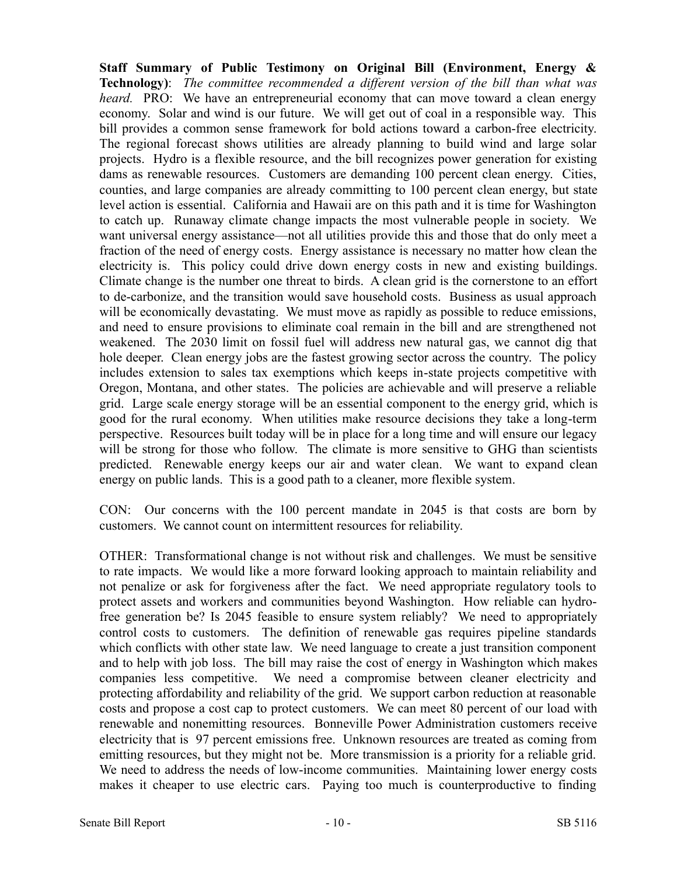**Staff Summary of Public Testimony on Original Bill (Environment, Energy & Technology)**: *The committee recommended a different version of the bill than what was heard.* PRO: We have an entrepreneurial economy that can move toward a clean energy economy. Solar and wind is our future. We will get out of coal in a responsible way. This bill provides a common sense framework for bold actions toward a carbon-free electricity. The regional forecast shows utilities are already planning to build wind and large solar projects. Hydro is a flexible resource, and the bill recognizes power generation for existing dams as renewable resources. Customers are demanding 100 percent clean energy. Cities, counties, and large companies are already committing to 100 percent clean energy, but state level action is essential. California and Hawaii are on this path and it is time for Washington to catch up. Runaway climate change impacts the most vulnerable people in society. We want universal energy assistance—not all utilities provide this and those that do only meet a fraction of the need of energy costs. Energy assistance is necessary no matter how clean the electricity is. This policy could drive down energy costs in new and existing buildings. Climate change is the number one threat to birds. A clean grid is the cornerstone to an effort to de-carbonize, and the transition would save household costs. Business as usual approach will be economically devastating. We must move as rapidly as possible to reduce emissions, and need to ensure provisions to eliminate coal remain in the bill and are strengthened not weakened. The 2030 limit on fossil fuel will address new natural gas, we cannot dig that hole deeper. Clean energy jobs are the fastest growing sector across the country. The policy includes extension to sales tax exemptions which keeps in-state projects competitive with Oregon, Montana, and other states. The policies are achievable and will preserve a reliable grid. Large scale energy storage will be an essential component to the energy grid, which is good for the rural economy. When utilities make resource decisions they take a long-term perspective. Resources built today will be in place for a long time and will ensure our legacy will be strong for those who follow. The climate is more sensitive to GHG than scientists predicted. Renewable energy keeps our air and water clean. We want to expand clean energy on public lands. This is a good path to a cleaner, more flexible system.

CON: Our concerns with the 100 percent mandate in 2045 is that costs are born by customers. We cannot count on intermittent resources for reliability.

OTHER: Transformational change is not without risk and challenges. We must be sensitive to rate impacts. We would like a more forward looking approach to maintain reliability and not penalize or ask for forgiveness after the fact. We need appropriate regulatory tools to protect assets and workers and communities beyond Washington. How reliable can hydrofree generation be? Is 2045 feasible to ensure system reliably? We need to appropriately control costs to customers. The definition of renewable gas requires pipeline standards which conflicts with other state law. We need language to create a just transition component and to help with job loss. The bill may raise the cost of energy in Washington which makes companies less competitive. We need a compromise between cleaner electricity and protecting affordability and reliability of the grid. We support carbon reduction at reasonable costs and propose a cost cap to protect customers. We can meet 80 percent of our load with renewable and nonemitting resources. Bonneville Power Administration customers receive electricity that is 97 percent emissions free. Unknown resources are treated as coming from emitting resources, but they might not be. More transmission is a priority for a reliable grid. We need to address the needs of low-income communities. Maintaining lower energy costs makes it cheaper to use electric cars. Paying too much is counterproductive to finding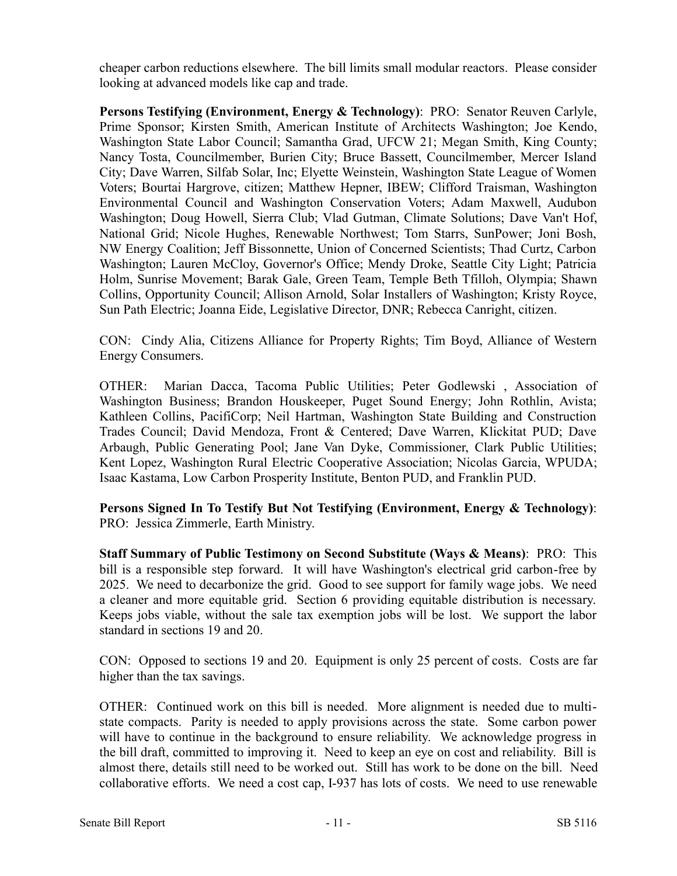cheaper carbon reductions elsewhere. The bill limits small modular reactors. Please consider looking at advanced models like cap and trade.

**Persons Testifying (Environment, Energy & Technology)**: PRO: Senator Reuven Carlyle, Prime Sponsor; Kirsten Smith, American Institute of Architects Washington; Joe Kendo, Washington State Labor Council; Samantha Grad, UFCW 21; Megan Smith, King County; Nancy Tosta, Councilmember, Burien City; Bruce Bassett, Councilmember, Mercer Island City; Dave Warren, Silfab Solar, Inc; Elyette Weinstein, Washington State League of Women Voters; Bourtai Hargrove, citizen; Matthew Hepner, IBEW; Clifford Traisman, Washington Environmental Council and Washington Conservation Voters; Adam Maxwell, Audubon Washington; Doug Howell, Sierra Club; Vlad Gutman, Climate Solutions; Dave Van't Hof, National Grid; Nicole Hughes, Renewable Northwest; Tom Starrs, SunPower; Joni Bosh, NW Energy Coalition; Jeff Bissonnette, Union of Concerned Scientists; Thad Curtz, Carbon Washington; Lauren McCloy, Governor's Office; Mendy Droke, Seattle City Light; Patricia Holm, Sunrise Movement; Barak Gale, Green Team, Temple Beth Tfilloh, Olympia; Shawn Collins, Opportunity Council; Allison Arnold, Solar Installers of Washington; Kristy Royce, Sun Path Electric; Joanna Eide, Legislative Director, DNR; Rebecca Canright, citizen.

CON: Cindy Alia, Citizens Alliance for Property Rights; Tim Boyd, Alliance of Western Energy Consumers.

OTHER: Marian Dacca, Tacoma Public Utilities; Peter Godlewski , Association of Washington Business; Brandon Houskeeper, Puget Sound Energy; John Rothlin, Avista; Kathleen Collins, PacifiCorp; Neil Hartman, Washington State Building and Construction Trades Council; David Mendoza, Front & Centered; Dave Warren, Klickitat PUD; Dave Arbaugh, Public Generating Pool; Jane Van Dyke, Commissioner, Clark Public Utilities; Kent Lopez, Washington Rural Electric Cooperative Association; Nicolas Garcia, WPUDA; Isaac Kastama, Low Carbon Prosperity Institute, Benton PUD, and Franklin PUD.

**Persons Signed In To Testify But Not Testifying (Environment, Energy & Technology)**: PRO: Jessica Zimmerle, Earth Ministry.

**Staff Summary of Public Testimony on Second Substitute (Ways & Means)**: PRO: This bill is a responsible step forward. It will have Washington's electrical grid carbon-free by 2025. We need to decarbonize the grid. Good to see support for family wage jobs. We need a cleaner and more equitable grid. Section 6 providing equitable distribution is necessary. Keeps jobs viable, without the sale tax exemption jobs will be lost. We support the labor standard in sections 19 and 20.

CON: Opposed to sections 19 and 20. Equipment is only 25 percent of costs. Costs are far higher than the tax savings.

OTHER: Continued work on this bill is needed. More alignment is needed due to multistate compacts. Parity is needed to apply provisions across the state. Some carbon power will have to continue in the background to ensure reliability. We acknowledge progress in the bill draft, committed to improving it. Need to keep an eye on cost and reliability. Bill is almost there, details still need to be worked out. Still has work to be done on the bill. Need collaborative efforts. We need a cost cap, I-937 has lots of costs. We need to use renewable